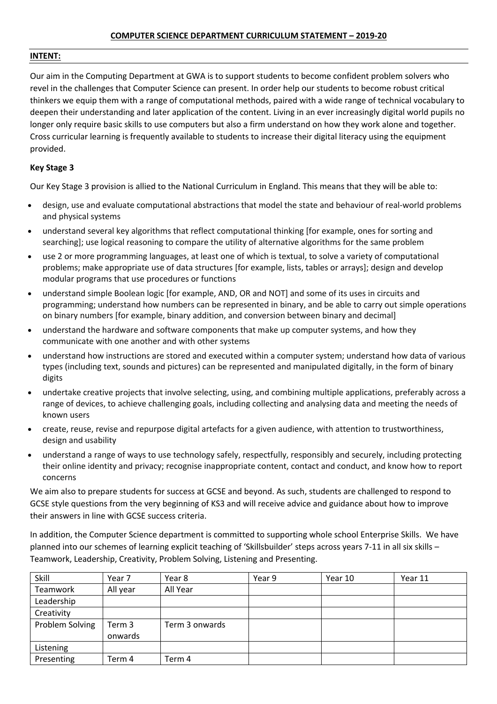## **INTENT:**

Our aim in the Computing Department at GWA is to support students to become confident problem solvers who revel in the challenges that Computer Science can present. In order help our students to become robust critical thinkers we equip them with a range of computational methods, paired with a wide range of technical vocabulary to deepen their understanding and later application of the content. Living in an ever increasingly digital world pupils no longer only require basic skills to use computers but also a firm understand on how they work alone and together. Cross curricular learning is frequently available to students to increase their digital literacy using the equipment provided.

## **Key Stage 3**

Our Key Stage 3 provision is allied to the National Curriculum in England. This means that they will be able to:

- design, use and evaluate computational abstractions that model the state and behaviour of real-world problems and physical systems
- understand several key algorithms that reflect computational thinking [for example, ones for sorting and searching]; use logical reasoning to compare the utility of alternative algorithms for the same problem
- use 2 or more programming languages, at least one of which is textual, to solve a variety of computational problems; make appropriate use of data structures [for example, lists, tables or arrays]; design and develop modular programs that use procedures or functions
- understand simple Boolean logic [for example, AND, OR and NOT] and some of its uses in circuits and programming; understand how numbers can be represented in binary, and be able to carry out simple operations on binary numbers [for example, binary addition, and conversion between binary and decimal]
- understand the hardware and software components that make up computer systems, and how they communicate with one another and with other systems
- understand how instructions are stored and executed within a computer system; understand how data of various types (including text, sounds and pictures) can be represented and manipulated digitally, in the form of binary digits
- undertake creative projects that involve selecting, using, and combining multiple applications, preferably across a range of devices, to achieve challenging goals, including collecting and analysing data and meeting the needs of known users
- create, reuse, revise and repurpose digital artefacts for a given audience, with attention to trustworthiness, design and usability
- understand a range of ways to use technology safely, respectfully, responsibly and securely, including protecting their online identity and privacy; recognise inappropriate content, contact and conduct, and know how to report concerns

We aim also to prepare students for success at GCSE and beyond. As such, students are challenged to respond to GCSE style questions from the very beginning of KS3 and will receive advice and guidance about how to improve their answers in line with GCSE success criteria.

In addition, the Computer Science department is committed to supporting whole school Enterprise Skills. We have planned into our schemes of learning explicit teaching of 'Skillsbuilder' steps across years 7-11 in all six skills – Teamwork, Leadership, Creativity, Problem Solving, Listening and Presenting.

| Skill           | Year 7   | Year 8         | Year 9 | Year 10 | Year 11 |
|-----------------|----------|----------------|--------|---------|---------|
| <b>Teamwork</b> | All year | All Year       |        |         |         |
| Leadership      |          |                |        |         |         |
| Creativity      |          |                |        |         |         |
| Problem Solving | Term 3   | Term 3 onwards |        |         |         |
|                 | onwards  |                |        |         |         |
| Listening       |          |                |        |         |         |
| Presenting      | Term 4   | Term 4         |        |         |         |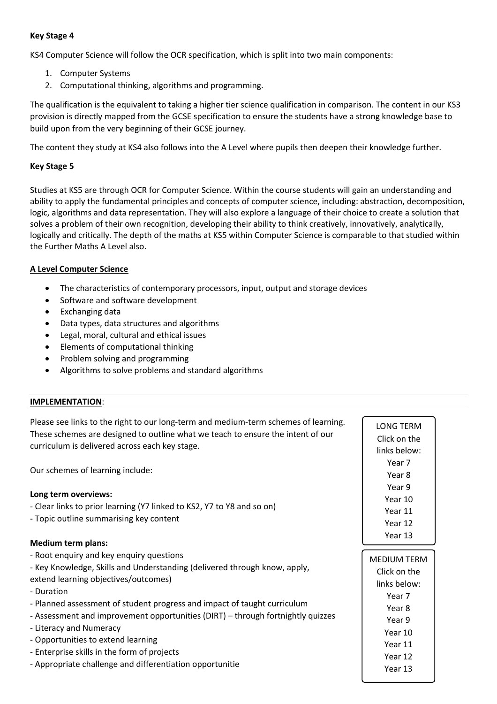# **Key Stage 4**

KS4 Computer Science will follow the OCR specification, which is split into two main components:

- 1. Computer Systems
- 2. Computational thinking, algorithms and programming.

The qualification is the equivalent to taking a higher tier science qualification in comparison. The content in our KS3 provision is directly mapped from the GCSE specification to ensure the students have a strong knowledge base to build upon from the very beginning of their GCSE journey.

The content they study at KS4 also follows into the A Level where pupils then deepen their knowledge further.

# **Key Stage 5**

Studies at KS5 are through OCR for Computer Science. Within the course students will gain an understanding and ability to apply the fundamental principles and concepts of computer science, including: abstraction, decomposition, logic, algorithms and data representation. They will also explore a language of their choice to create a solution that solves a problem of their own recognition, developing their ability to think creatively, innovatively, analytically, logically and critically. The depth of the maths at KS5 within Computer Science is comparable to that studied within the Further Maths A Level also.

# **A Level Computer Science**

- The characteristics of contemporary processors, input, output and storage devices
- Software and software development
- Exchanging data
- Data types, data structures and algorithms
- Legal, moral, cultural and ethical issues
- Elements of computational thinking
- Problem solving and programming
- Algorithms to solve problems and standard algorithms

## **IMPLEMENTATION**:

Please see links to the right to our long-term and medium-term schemes of learning. These schemes are designed to outline what we teach to ensure the intent of our curriculum is delivered across each key stage.

Our schemes of learning include:

## **Long term overviews:**

- Clear links to prior learning (Y7 linked to KS2, Y7 to Y8 and so on)
- Topic outline summarising key content

## **Medium term plans:**

- Root enquiry and key enquiry questions

- Key Knowledge, Skills and Understanding (delivered through know, apply, extend learning objectives/outcomes)

- Duration
- Planned assessment of student progress and impact of taught curriculum
- Assessment and improvement opportunities (DIRT) through fortnightly quizzes
- Literacy and Numeracy
- Opportunities to extend learning
- Enterprise skills in the form of projects
- Appropriate challenge and differentiation opportunitie

| LONG TERM          |
|--------------------|
| Click on the       |
| links below:       |
| Year 7             |
| Year 8             |
| Year 9             |
| Year 10            |
| Year 11            |
| Year 12            |
| Year 13            |
|                    |
|                    |
| <b>MEDIUM TERM</b> |
| Click on the       |
| links below:       |
| Year 7             |
| Year 8             |
| Year 9             |
| Year 10            |
| Year 11            |
| Year 12            |
| Year 13            |